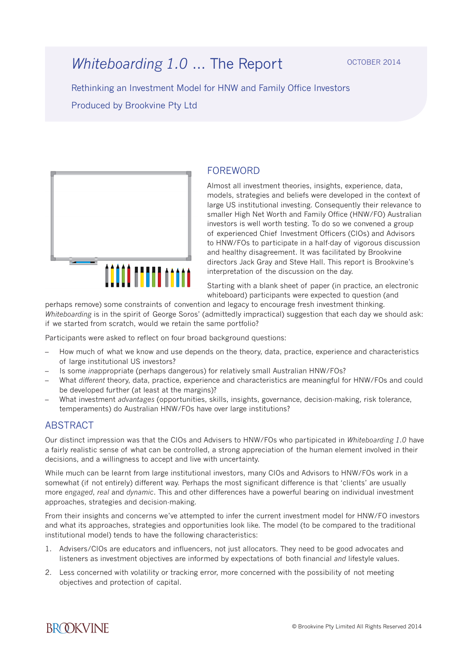Rethinking an Investment Model for HNW and Family Office Investors Produced by Brookvine Pty Ltd



## FOREWORD

Almost all investment theories, insights, experience, data, models, strategies and beliefs were developed in the context of large US institutional investing. Consequently their relevance to smaller High Net Worth and Family Office (HNW/FO) Australian investors is well worth testing. To do so we convened a group of experienced Chief Investment Officers (CIOs) and Advisors to HNW/FOs to participate in a half-day of vigorous discussion and healthy disagreement. It was facilitated by Brookvine directors Jack Gray and Steve Hall. This report is Brookvine's interpretation of the discussion on the day.

Starting with a blank sheet of paper (in practice, an electronic whiteboard) participants were expected to question (and

perhaps remove) some constraints of convention and legacy to encourage fresh investment thinking. *Whiteboarding* is in the spirit of George Soros' (admittedly impractical) suggestion that each day we should ask: if we started from scratch, would we retain the same portfolio?

Participants were asked to reflect on four broad background questions:

- How much of what we know and use depends on the theory, data, practice, experience and characteristics of large institutional US investors?
- Is some *in*appropriate (perhaps dangerous) for relatively small Australian HNW/FOs?
- What *different* theory, data, practice, experience and characteristics are meaningful for HNW/FOs and could be developed further (at least at the margins)?
- What investment *advantages* (opportunities, skills, insights, governance, decision-making, risk tolerance, temperaments) do Australian HNW/FOs have over large institutions?

#### ABSTRACT

Our distinct impression was that the CIOs and Advisers to HNW/FOs who partipicated in *Whiteboarding 1.0* have a fairly realistic sense of what can be controlled, a strong appreciation of the human element involved in their decisions, and a willingness to accept and live with uncertainty.

While much can be learnt from large institutional investors, many CIOs and Advisors to HNW/FOs work in a somewhat (if not entirely) different way. Perhaps the most significant difference is that 'clients' are usually more *engaged*, *real* and *dynamic*. This and other differences have a powerful bearing on individual investment approaches, strategies and decision-making.

From their insights and concerns we've attempted to infer the current investment model for HNW/FO investors and what its approaches, strategies and opportunities look like. The model (to be compared to the traditional institutional model) tends to have the following characteristics:

- 1. Advisers/CIOs are educators and influencers, not just allocators. They need to be good advocates and listeners as investment objectives are informed by expectations of both financial *and* lifestyle values.
- 2. Less concerned with volatility or tracking error, more concerned with the possibility of not meeting objectives and protection of capital.

**BROOKVINE**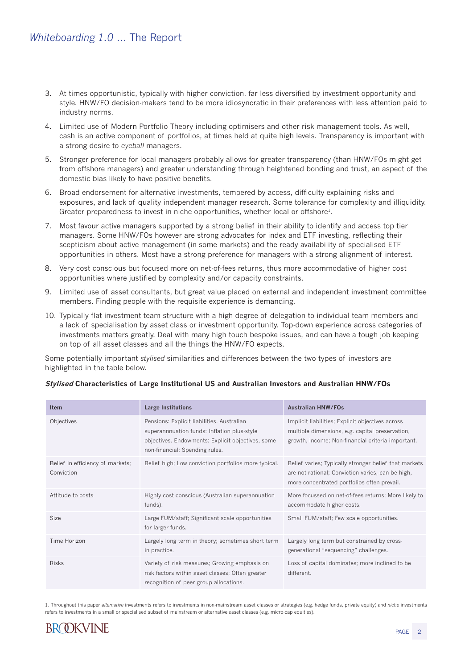- 3. At times opportunistic, typically with higher conviction, far less diversified by investment opportunity and style. HNW/FO decision-makers tend to be more idiosyncratic in their preferences with less attention paid to industry norms.
- 4. Limited use of Modern Portfolio Theory including optimisers and other risk management tools. As well, cash is an active component of portfolios, at times held at quite high levels. Transparency is important with a strong desire to *eyeball* managers.
- 5. Stronger preference for local managers probably allows for greater transparency (than HNW/FOs might get from offshore managers) and greater understanding through heightened bonding and trust, an aspect of the domestic bias likely to have positive benefits.
- 6. Broad endorsement for alternative investments, tempered by access, difficulty explaining risks and exposures, and lack of quality independent manager research. Some tolerance for complexity and illiquidity. Greater preparedness to invest in niche opportunities, whether local or offshore<sup>1</sup>.
- 7. Most favour active managers supported by a strong belief in their ability to identify and access top tier managers. Some HNW/FOs however are strong advocates for index and ETF investing, reflecting their scepticism about active management (in some markets) and the ready availability of specialised ETF opportunities in others. Most have a strong preference for managers with a strong alignment of interest.
- 8. Very cost conscious but focused more on net-of-fees returns, thus more accommodative of higher cost opportunities where justified by complexity and/or capacity constraints.
- 9. Limited use of asset consultants, but great value placed on external and independent investment committee members. Finding people with the requisite experience is demanding.
- 10. Typically flat investment team structure with a high degree of delegation to individual team members and a lack of specialisation by asset class or investment opportunity. Top-down experience across categories of investments matters greatly. Deal with many high touch bespoke issues, and can have a tough job keeping on top of all asset classes and all the things the HNW/FO expects.

Some potentially important *stylised* similarities and differences between the two types of investors are highlighted in the table below.

| <b>Item</b>                                    | <b>Large Institutions</b>                                                                                                                                                        | <b>Australian HNW/FOs</b>                                                                                                                                 |
|------------------------------------------------|----------------------------------------------------------------------------------------------------------------------------------------------------------------------------------|-----------------------------------------------------------------------------------------------------------------------------------------------------------|
| Objectives                                     | Pensions: Explicit liabilities. Australian<br>superannnuation funds: Inflation plus-style<br>objectives. Endowments: Explicit objectives, some<br>non-financial; Spending rules. | Implicit liabilities; Explicit objectives across<br>multiple dimensions, e.g. capital preservation,<br>growth, income; Non-financial criteria important.  |
| Belief in efficiency of markets;<br>Conviction | Belief high; Low conviction portfolios more typical.                                                                                                                             | Belief varies; Typically stronger belief that markets<br>are not rational; Conviction varies, can be high,<br>more concentrated portfolios often prevail. |
| Attitude to costs                              | Highly cost conscious (Australian superannuation<br>funds).                                                                                                                      | More focussed on net-of-fees returns; More likely to<br>accommodate higher costs.                                                                         |
| Size                                           | Large FUM/staff; Significant scale opportunities<br>for larger funds.                                                                                                            | Small FUM/staff; Few scale opportunities.                                                                                                                 |
| Time Horizon                                   | Largely long term in theory; sometimes short term<br>in practice.                                                                                                                | Largely long term but constrained by cross-<br>generational "sequencing" challenges.                                                                      |
| <b>Risks</b>                                   | Variety of risk measures; Growing emphasis on<br>risk factors within asset classes; Often greater<br>recognition of peer group allocations.                                      | Loss of capital dominates; more inclined to be<br>different.                                                                                              |

#### **Stylised Characteristics of Large Institutional US and Australian Investors and Australian HNW/FOs**

1. Throughout this paper *alternative* investments refers to investments in non-mainstream asset classes or strategies (e.g. hedge funds, private equity) and *niche* investments refers to investments in a small or specialised subset of mainstream or alternative asset classes (e.g. micro-cap equities).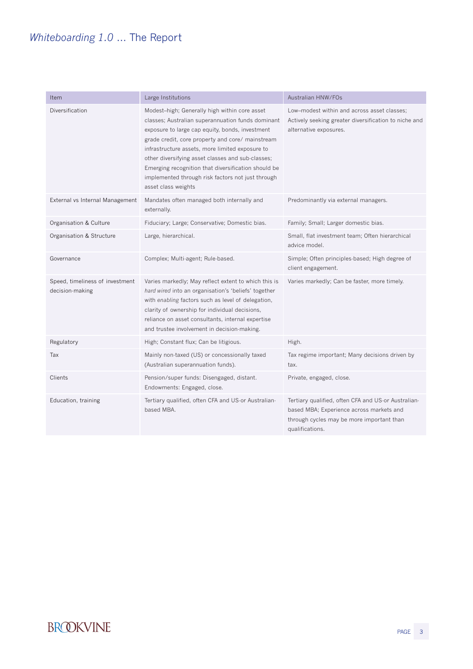| Item                                               | Large Institutions                                                                                                                                                                                                                                                                                                                                                                                                                                   | Australian HNW/FOs                                                                                                                                              |
|----------------------------------------------------|------------------------------------------------------------------------------------------------------------------------------------------------------------------------------------------------------------------------------------------------------------------------------------------------------------------------------------------------------------------------------------------------------------------------------------------------------|-----------------------------------------------------------------------------------------------------------------------------------------------------------------|
| Diversification                                    | Modest-high; Generally high within core asset<br>classes; Australian superannuation funds dominant<br>exposure to large cap equity, bonds, investment<br>grade credit, core property and core/ mainstream<br>infrastructure assets, more limited exposure to<br>other diversifying asset classes and sub-classes;<br>Emerging recognition that diversification should be<br>implemented through risk factors not just through<br>asset class weights | Low-modest within and across asset classes;<br>Actively seeking greater diversification to niche and<br>alternative exposures.                                  |
| External vs Internal Management                    | Mandates often managed both internally and<br>externally.                                                                                                                                                                                                                                                                                                                                                                                            | Predominantly via external managers.                                                                                                                            |
| Organisation & Culture                             | Fiduciary; Large; Conservative; Domestic bias.                                                                                                                                                                                                                                                                                                                                                                                                       | Family; Small; Larger domestic bias.                                                                                                                            |
| Organisation & Structure                           | Large, hierarchical.                                                                                                                                                                                                                                                                                                                                                                                                                                 | Small, flat investment team; Often hierarchical<br>advice model.                                                                                                |
| Governance                                         | Complex; Multi-agent; Rule-based.                                                                                                                                                                                                                                                                                                                                                                                                                    | Simple; Often principles-based; High degree of<br>client engagement.                                                                                            |
| Speed, timeliness of investment<br>decision-making | Varies markedly; May reflect extent to which this is<br>hard wired into an organisation's 'beliefs' together<br>with enabling factors such as level of delegation,<br>clarity of ownership for individual decisions,<br>reliance on asset consultants, internal expertise<br>and trustee involvement in decision-making.                                                                                                                             | Varies markedly; Can be faster, more timely.                                                                                                                    |
| Regulatory                                         | High; Constant flux; Can be litigious.                                                                                                                                                                                                                                                                                                                                                                                                               | High.                                                                                                                                                           |
| Tax                                                | Mainly non-taxed (US) or concessionally taxed<br>(Australian superannuation funds).                                                                                                                                                                                                                                                                                                                                                                  | Tax regime important; Many decisions driven by<br>tax.                                                                                                          |
| Clients                                            | Pension/super funds: Disengaged, distant.<br>Endowments: Engaged, close.                                                                                                                                                                                                                                                                                                                                                                             | Private, engaged, close.                                                                                                                                        |
| Education, training                                | Tertiary qualified, often CFA and US-or Australian-<br>based MBA.                                                                                                                                                                                                                                                                                                                                                                                    | Tertiary qualified, often CFA and US-or Australian-<br>based MBA; Experience across markets and<br>through cycles may be more important than<br>qualifications. |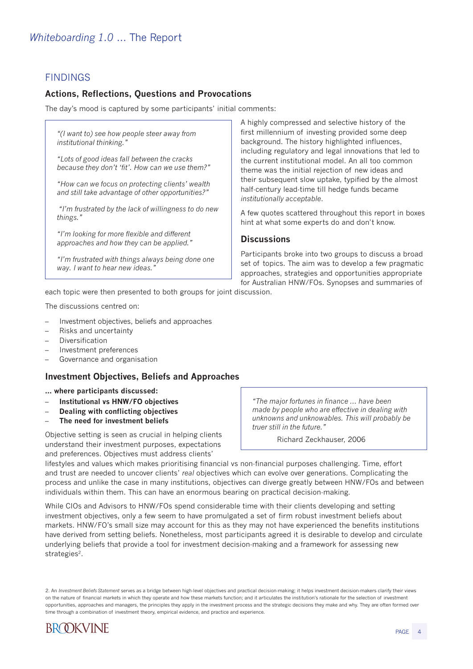## FINDINGS

### **Actions, Reflections, Questions and Provocations**

The day's mood is captured by some participants' initial comments:

*"(I want to) see how people steer away from institutional thinking."*

*"Lots of good ideas fall between the cracks because they don't 'fit'. How can we use them?"*

*"How can we focus on protecting clients' wealth and still take advantage of other opportunities?"*

 *"I'm frustrated by the lack of willingness to do new things."*

*"I'm looking for more flexible and different approaches and how they can be applied."*

*"I'm frustrated with things always being done one way. I want to hear new ideas."*

A highly compressed and selective history of the first millennium of investing provided some deep background. The history highlighted influences, including regulatory and legal innovations that led to the current institutional model. An all too common theme was the initial rejection of new ideas and their subsequent slow uptake, typified by the almost half-century lead-time till hedge funds became *institutionally acceptable*.

A few quotes scattered throughout this report in boxes hint at what some experts do and don't know.

#### **Discussions**

Participants broke into two groups to discuss a broad set of topics. The aim was to develop a few pragmatic approaches, strategies and opportunities appropriate for Australian HNW/FOs. Synopses and summaries of

each topic were then presented to both groups for joint discussion.

The discussions centred on:

- Investment objectives, beliefs and approaches
- Risks and uncertainty
- **Diversification**
- Investment preferences
- Governance and organisation

#### **Investment Objectives, Beliefs and Approaches**

#### **... where participants discussed:**

- **Institutional vs HNW/FO objectives**
- **Dealing with conflicting objectives**
- **The need for investment beliefs**

Objective setting is seen as crucial in helping clients understand their investment purposes, expectations and preferences. Objectives must address clients'

*"The major fortunes in finance ... have been made by people who are effective in dealing with unknowns and unknowables. This will probably be truer still in the future."*

Richard Zeckhauser, 2006

lifestyles and values which makes prioritising financial vs non-financial purposes challenging. Time, effort and trust are needed to uncover clients' *real* objectives which can evolve over generations. Complicating the process and unlike the case in many institutions, objectives can diverge greatly between HNW/FOs and between individuals within them. This can have an enormous bearing on practical decision-making.

While CIOs and Advisors to HNW/FOs spend considerable time with their clients developing and setting investment objectives, only a few seem to have promulgated a set of firm robust investment beliefs about markets. HNW/FO's small size may account for this as they may not have experienced the benefits institutions have derived from setting beliefs. Nonetheless, most participants agreed it is desirable to develop and circulate underlying beliefs that provide a tool for investment decision-making and a framework for assessing new strategies<sup>2</sup>.

<sup>2.</sup> An *Investment Beliefs Statement* serves as a bridge between high-level objectives and practical decision-making; it helps investment decision-makers clarify their views on the nature of financial markets in which they operate and how these markets function; and it articulates the institution's rationale for the selection of investment opportunities, approaches and managers, the principles they apply in the investment process and the strategic decisions they make and why. They are often formed over time through a combination of investment theory, empirical evidence, and practice and experience.

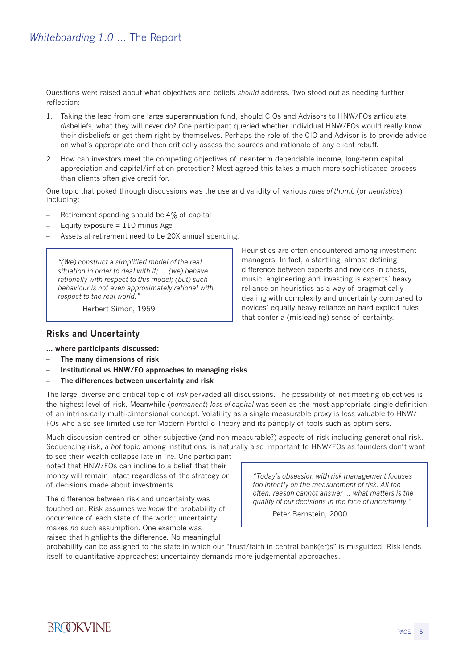Questions were raised about what objectives and beliefs *should* address. Two stood out as needing further reflection:

- 1. Taking the lead from one large superannuation fund, should CIOs and Advisors to HNW/FOs articulate *dis*beliefs, what they will never do? One participant queried whether individual HNW/FOs would really know their disbeliefs or get them right by themselves. Perhaps the role of the CIO and Advisor is to provide advice on what's appropriate and then critically assess the sources and rationale of any client rebuff.
- 2. How can investors meet the competing objectives of near-term dependable income, long-term capital appreciation and capital/inflation protection? Most agreed this takes a much more sophisticated process than clients often give credit for.

One topic that poked through discussions was the use and validity of various *rules of thumb* (or *heuristics*) including:

- Retirement spending should be 4% of capital
- Equity exposure  $= 110$  minus Age
- Assets at retirement need to be 20X annual spending.

*"(We) construct a simplified model of the real situation in order to deal with it; ... (we) behave rationally with respect to this model; (but) such behaviour is not even approximately rational with respect to the real world."*

Herbert Simon, 1959

#### **Risks and Uncertainty**

#### **... where participants discussed:**

- **The many dimensions of risk**
- **Institutional vs HNW/FO approaches to managing risks**
- **The differences between uncertainty and risk**

The large, diverse and critical topic of *risk* pervaded all discussions. The possibility of not meeting objectives is the highest level of risk. Meanwhile (*permanent*) *loss of capital* was seen as the most appropriate single definition of an intrinsically multi-dimensional concept. Volatility as a single measurable proxy is less valuable to HNW/ FOs who also see limited use for Modern Portfolio Theory and its panoply of tools such as optimisers.

Much discussion centred on other subjective (and non-measurable?) aspects of risk including generational risk. Sequencing risk, a *hot* topic among institutions, is naturally also important to HNW/FOs as founders don't want

to see their wealth collapse late in life. One participant noted that HNW/FOs can incline to a belief that their money will remain intact regardless of the strategy or of decisions made about investments.

The difference between risk and uncertainty was touched on. Risk assumes we *know* the probability of occurrence of each state of the world; uncertainty makes *no* such assumption. One example was raised that highlights the difference. No meaningful

*"Today's obsession with risk management focuses too intently on the measurement of risk. All too often, reason cannot answer ... what matters is the quality of our decisions in the face of uncertainty."*

Peter Bernstein, 2000

probability can be assigned to the state in which our "trust/faith in central bank(er)s" is misguided. Risk lends itself to quantitative approaches; uncertainty demands more judgemental approaches.



Heuristics are often encountered among investment managers. In fact, a startling, almost defining difference between experts and novices in chess, music, engineering and investing is experts' heavy reliance on heuristics as a way of pragmatically dealing with complexity and uncertainty compared to novices' equally heavy reliance on hard explicit rules that confer a (misleading) sense of certainty.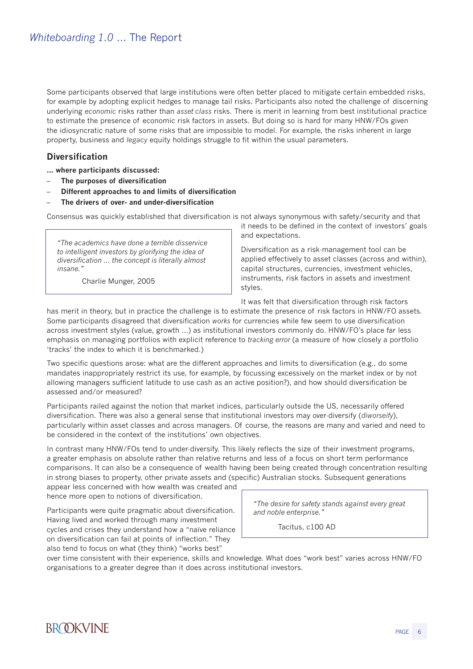Some participants observed that large institutions were often better placed to mitigate certain embedded risks, for example by adopting explicit hedges to manage tail risks. Participants also noted the challenge of discerning underlying *economic* risks rather than *asset class* risks. There is merit in learning from best institutional practice to estimate the presence of economic risk factors in assets. But doing so is hard for many HNW/FOs given the idiosyncratic nature of some risks that are impossible to model. For example, the risks inherent in large property, business and *legacy* equity holdings struggle to fit within the usual parameters.

#### **Diversification**

**... where participants discussed:**

- **The purposes of diversification**
- **Different approaches to and limits of diversification**
- **The drivers of over- and under-diversification**

Consensus was quickly established that diversification is not always synonymous with safety/security and that

*"The academics have done a terrible disservice to intelligent investors by glorifying the idea of diversification ... the concept is literally almost insane."*

Charlie Munger, 2005

it needs to be defined in the context of investors' goals and expectations.

Diversification as a risk-management tool can be applied effectively to asset classes (across and within), capital structures, currencies, investment vehicles, instruments, risk factors in assets and investment styles.

It was felt that diversification through risk factors

has merit in theory, but in practice the challenge is to estimate the presence of risk factors in HNW/FO assets. Some participants disagreed that diversification *works* for currencies while few seem to use diversification across investment styles (value, growth ...) as institutional investors commonly do. HNW/FO's place far less emphasis on managing portfolios with explicit reference to *tracking error* (a measure of how closely a portfolio 'tracks' the index to which it is benchmarked.)

Two specific questions arose: what are the different approaches and limits to diversification (e.g., do some mandates inappropriately restrict its use, for example, by focussing excessively on the market index or by not allowing managers sufficient latitude to use cash as an active position?), and how should diversification be assessed and/or measured?

Participants railed against the notion that market indices, particularly outside the US, necessarily offered diversification. There was also a general sense that institutional investors may over-diversify (*diworseify*), particularly within asset classes and across managers. Of course, the reasons are many and varied and need to be considered in the context of the institutions' own objectives.

In contrast many HNW/FOs tend to under-diversify. This likely reflects the size of their investment programs, a greater emphasis on absolute rather than relative returns and less of a focus on short term performance comparisons. It can also be a consequence of wealth having been being created through concentration resulting in strong biases to property, other private assets and (specific) Australian stocks. Subsequent generations

appear less concerned with how wealth was created and hence more open to notions of diversification.

Participants were quite pragmatic about diversification. Having lived and worked through many investment cycles and crises they understand how a "naïve reliance on diversification can fail at points of inflection." They also tend to focus on what (they think) "works best"

*"The desire for safety stands against every great and noble enterprise."*

Tacitus, c100 AD

over time consistent with their experience, skills and knowledge. What does "work best" varies across HNW/FO organisations to a greater degree than it does across institutional investors.

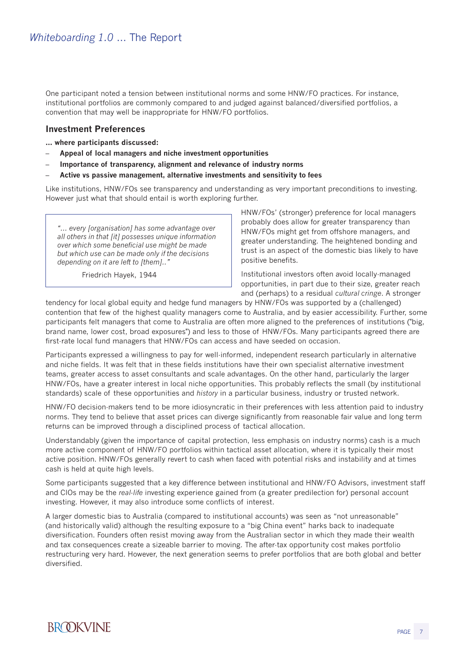One participant noted a tension between institutional norms and some HNW/FO practices. For instance, institutional portfolios are commonly compared to and judged against balanced/diversified portfolios, a convention that may well be inappropriate for HNW/FO portfolios.

#### **Investment Preferences**

**... where participants discussed:**

- **Appeal of local managers and niche investment opportunities**
- **Importance of transparency, alignment and relevance of industry norms**
- **Active vs passive management, alternative investments and sensitivity to fees**

Like institutions, HNW/FOs see transparency and understanding as very important preconditions to investing. However just what that should entail is worth exploring further.

*"... every [organisation] has some advantage over all others in that [it] possesses unique information over which some beneficial use might be made but which use can be made only if the decisions depending on it are left to [them].."*

Friedrich Hayek, 1944

HNW/FOs' (stronger) preference for local managers probably does allow for greater transparency than HNW/FOs might get from offshore managers, and greater understanding. The heightened bonding and trust is an aspect of the domestic bias likely to have positive benefits.

Institutional investors often avoid locally-managed opportunities, in part due to their size, greater reach and (perhaps) to a residual *cultural cringe*. A stronger

tendency for local global equity and hedge fund managers by HNW/FOs was supported by a (challenged) contention that few of the highest quality managers come to Australia, and by easier accessibility. Further, some participants felt managers that come to Australia are often more aligned to the preferences of institutions ("big, brand name, lower cost, broad exposures") and less to those of HNW/FOs. Many participants agreed there are first-rate local fund managers that HNW/FOs can access and have seeded on occasion.

Participants expressed a willingness to pay for well-informed, independent research particularly in alternative and niche fields. It was felt that in these fields institutions have their own specialist alternative investment teams, greater access to asset consultants and scale advantages. On the other hand, particularly the larger HNW/FOs, have a greater interest in local niche opportunities. This probably reflects the small (by institutional standards) scale of these opportunities and *history* in a particular business, industry or trusted network.

HNW/FO decision-makers tend to be more idiosyncratic in their preferences with less attention paid to industry norms. They tend to believe that asset prices can diverge significantly from reasonable fair value and long term returns can be improved through a disciplined process of tactical allocation.

Understandably (given the importance of capital protection, less emphasis on industry norms) cash is a much more active component of HNW/FO portfolios within tactical asset allocation, where it is typically their most active position. HNW/FOs generally revert to cash when faced with potential risks and instability and at times cash is held at quite high levels.

Some participants suggested that a key difference between institutional and HNW/FO Advisors, investment staff and CIOs may be the *real-life* investing experience gained from (a greater predilection for) personal account investing. However, it may also introduce some conflicts of interest.

A larger domestic bias to Australia (compared to institutional accounts) was seen as "not unreasonable" (and historically valid) although the resulting exposure to a "big China event" harks back to inadequate diversification. Founders often resist moving away from the Australian sector in which they made their wealth and tax consequences create a sizeable barrier to moving. The after-tax opportunity cost makes portfolio restructuring very hard. However, the next generation seems to prefer portfolios that are both global and better diversified.

# **BROOKVINE**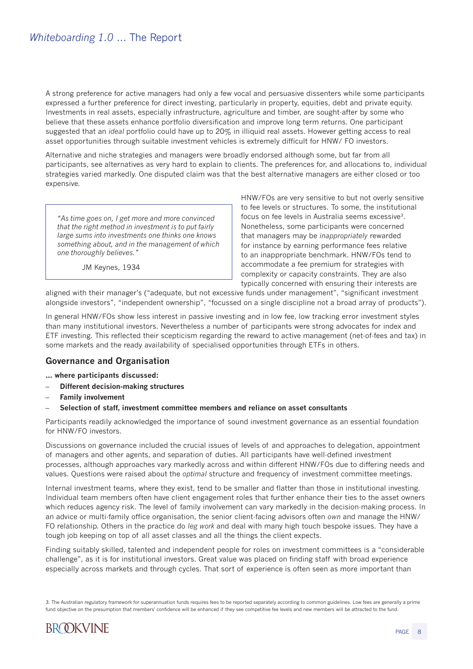A strong preference for active managers had only a few vocal and persuasive dissenters while some participants expressed a further preference for direct investing, particularly in property, equities, debt and private equity. Investments in real assets, especially infrastructure, agriculture and timber, are sought-after by some who believe that these assets enhance portfolio diversification and improve long term returns. One participant suggested that an *ideal* portfolio could have up to 20% in illiquid real assets. However getting access to real asset opportunities through suitable investment vehicles is extremely difficult for HNW/ FO investors.

Alternative and niche strategies and managers were broadly endorsed although some, but far from all participants, see alternatives as very hard to explain to clients. The preferences for, and allocations to, individual strategies varied markedly. One disputed claim was that the best alternative managers are either closed or too expensive.

*"As time goes on, I get more and more convinced that the right method in investment is to put fairly large sums into investments one thinks one knows something about, and in the management of which one thoroughly believes."*

JM Keynes, 1934

HNW/FOs are very sensitive to but not overly sensitive to fee levels or structures. To some, the institutional focus on fee levels in Australia seems excessive3. Nonetheless, some participants were concerned that managers may be *inappropriately* rewarded for instance by earning performance fees relative to an inappropriate benchmark. HNW/FOs tend to accommodate a fee premium for strategies with complexity or capacity constraints. They are also typically concerned with ensuring their interests are

aligned with their manager's ("adequate, but not excessive funds under management", "significant investment alongside investors", "independent ownership", "focussed on a single discipline not a broad array of products").

In general HNW/FOs show less interest in passive investing and in low fee, low tracking error investment styles than many institutional investors. Nevertheless a number of participants were strong advocates for index and ETF investing. This reflected their scepticism regarding the reward to active management (net-of-fees and tax) in some markets and the ready availability of specialised opportunities through ETFs in others.

#### **Governance and Organisation**

**... where participants discussed:**

- **Different decision-making structures**
- **Family involvement**
- **Selection of staff, investment committee members and reliance on asset consultants**

Participants readily acknowledged the importance of sound investment governance as an essential foundation for HNW/FO investors.

Discussions on governance included the crucial issues of levels of and approaches to delegation, appointment of managers and other agents, and separation of duties. All participants have well-defined investment processes, although approaches vary markedly across and within different HNW/FOs due to differing needs and values. Questions were raised about the *optimal* structure and frequency of investment committee meetings.

Internal investment teams, where they exist, tend to be smaller and flatter than those in institutional investing. Individual team members often have client engagement roles that further enhance their ties to the asset owners which reduces agency risk. The level of family involvement can vary markedly in the decision-making process. In an advice or multi-family office organisation, the senior client-facing advisors often *own* and manage the HNW/ FO relationship. Others in the practice do *leg work* and deal with many high touch bespoke issues. They have a tough job keeping on top of all asset classes and all the things the client expects.

Finding suitably skilled, talented and independent people for roles on investment committees is a "considerable challenge", as it is for institutional investors. Great value was placed on finding staff with broad experience especially across markets and through cycles. That sort of experience is often seen as more important than

3. The Australian regulatory framework for superannuation funds requires fees to be reported separately according to common guidelines. Low fees are generally a prime fund objective on the presumption that members' confidence will be enhanced if they see competitive fee levels and new members will be attracted to the fund.

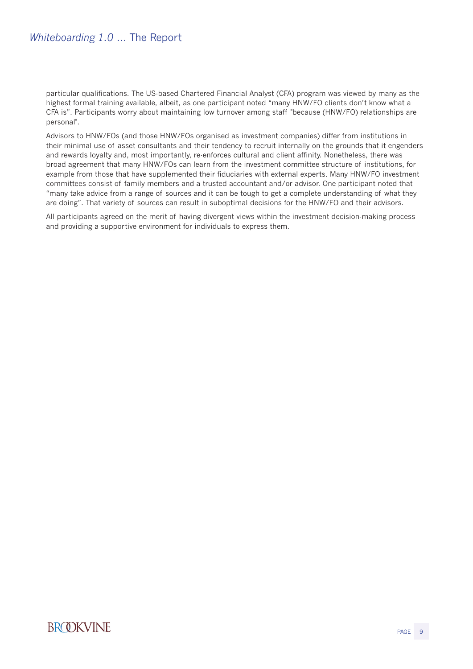particular qualifications. The US-based Chartered Financial Analyst (CFA) program was viewed by many as the highest formal training available, albeit, as one participant noted "many HNW/FO clients don't know what a CFA is". Participants worry about maintaining low turnover among staff "because (HNW/FO) relationships are personal".

Advisors to HNW/FOs (and those HNW/FOs organised as investment companies) differ from institutions in their minimal use of asset consultants and their tendency to recruit internally on the grounds that it engenders and rewards loyalty and, most importantly, re-enforces cultural and client affinity. Nonetheless, there was broad agreement that many HNW/FOs can learn from the investment committee structure of institutions, for example from those that have supplemented their fiduciaries with external experts. Many HNW/FO investment committees consist of family members and a trusted accountant and/or advisor. One participant noted that "many take advice from a range of sources and it can be tough to get a complete understanding of what they are doing". That variety of sources can result in suboptimal decisions for the HNW/FO and their advisors.

All participants agreed on the merit of having divergent views within the investment decision-making process and providing a supportive environment for individuals to express them.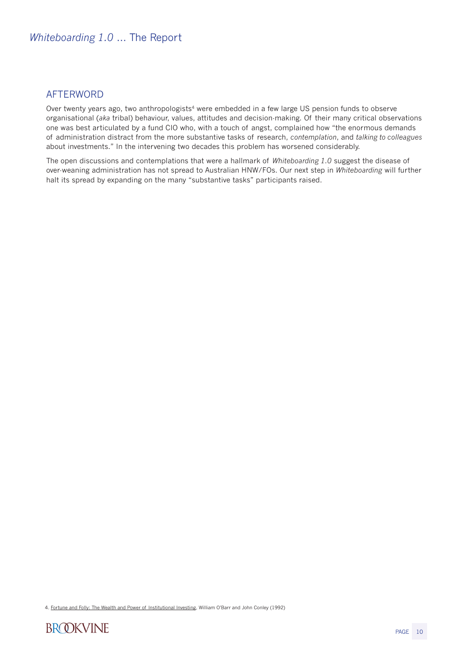## **AFTFRWORD**

Over twenty years ago, two anthropologists<sup>4</sup> were embedded in a few large US pension funds to observe organisational (*aka* tribal) behaviour, values, attitudes and decision-making. Of their many critical observations one was best articulated by a fund CIO who, with a touch of angst, complained how "the enormous demands of administration distract from the more substantive tasks of research, *contemplation*, and *talking to colleagues* about investments." In the intervening two decades this problem has worsened considerably.

The open discussions and contemplations that were a hallmark of *Whiteboarding 1.0* suggest the disease of over-weaning administration has not spread to Australian HNW/FOs. Our next step in *Whiteboarding* will further halt its spread by expanding on the many "substantive tasks" participants raised.

4. Fortune and Folly: The Wealth and Power of Institutional Investing, William O'Barr and John Conley (1992)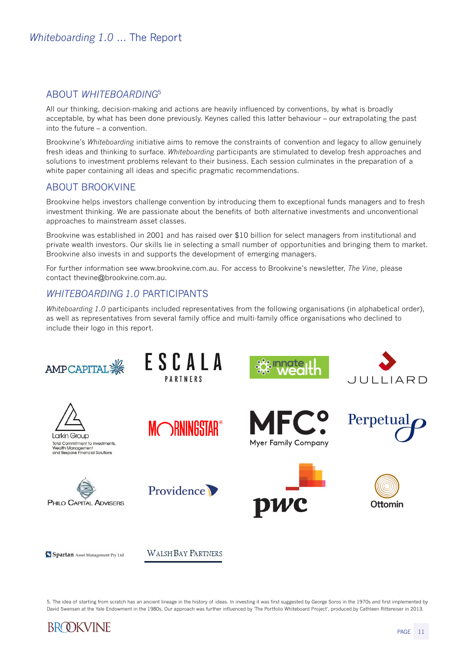## ABOUT *WHITEBOARDING*<sup>5</sup>

All our thinking, decision-making and actions are heavily influenced by conventions, by what is broadly acceptable, by what has been done previously. Keynes called this latter behaviour – our extrapolating the past into the future – a convention.

Brookvine's *Whiteboarding* initiative aims to remove the constraints of convention and legacy to allow genuinely fresh ideas and thinking to surface. *Whiteboarding* participants are stimulated to develop fresh approaches and solutions to investment problems relevant to their business. Each session culminates in the preparation of a white paper containing all ideas and specific pragmatic recommendations.

### ABOUT BROOKVINE

Brookvine helps investors challenge convention by introducing them to exceptional funds managers and to fresh investment thinking. We are passionate about the benefits of both alternative investments and unconventional approaches to mainstream asset classes.

Brookvine was established in 2001 and has raised over \$10 billion for select managers from institutional and private wealth investors. Our skills lie in selecting a small number of opportunities and bringing them to market. Brookvine also invests in and supports the development of emerging managers.

For further information see www.brookvine.com.au. For access to Brookvine's newsletter, *The Vine*, please contact thevine@brookvine.com.au.

#### *WHITEBOARDING 1.0* PARTICIPANTS

*Whiteboarding 1.0* participants included representatives from the following organisations (in alphabetical order), as well as representatives from several family office and multi-family office organisations who declined to include their logo in this report.



5. The idea of starting from scratch has an ancient lineage in the history of ideas. In investing it was first suggested by George Soros in the 1970s and first implemented by David Swensen at the Yale Endowment in the 1980s. Our approach was further influenced by 'The Portfolio Whiteboard Project', produced by Cathleen Rittereiser in 2013.